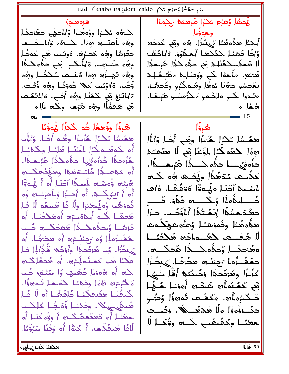Had B´shabo Daqdom Yaldo المجمع الم Had B´shabo Daqdom Yaldo لْمَعْطَ وَهزم عَكْزَا هَرِهُكُمْ رَكِمَاًا فزمعته لِحْدَةَهِ مَحْسُرًا وَوُهِ هُدًا وَٱلْمَحْمَى حَعَّزَحَكُمْ وحموؤكا وقُه لَمصْده هِهُ الْمَسْمَدِهِ وَالْمُسْسَمَدِ أَسْمَاءُ مَدْمَةٍ وَمَنَّ الْمَعْرَفَ الْمُعَاهَدَ الْمُمَّارَ حَدَّثِهَا وِبِّهُ كَحَـرُهُ. هُوسًـٰب بْمَـ كُـٰهَ صَـٰ وَّاحُا دَٰهئا لِلنُلْهَا أَلْمَلَاوَٰذٍ. وَالْمَهَا: وِبَّهِ حَزْمِهِمْ. ةَ/أَمْكَمْ بِّعْمِ حَذُّهِكُمُّا لًا مْعِظْمِدْفُلْہِمْ بْعِي حِدُّە حَدًّا هُبُعِجًا وِبَّهُ مَكِنُّوْهُ وَهُمَّا مُنْسَمَّ مَكْشًا وِبِّهُ هَٰزِيَٰمِ. مأَهَدَا كَبِ وِوَٰئِيَاتِهِ مِمَّزِيضًابِهِ .<br>وَّكُــٰ، ۞*ااوَّكُـند كُـلا حُ*ّدوْضُـْل وِبِهُء وَّصْـت. ىمّْحىْب دەەُنْا مّەھْا وھّـەڭبىر وحُحھَـۃ. ة/الَّتَوْ بْعِي كَمُنْـا وِبُهُمْ أُمَّـبٍ. ة/انَّمَّـعَـ ەئەۋا كىر ەلائىمر ەڭەمئىر ھۇيغا. بْعِي هَجَةُ أَا وِبِّهِ هُبْعٍ. وِكْتُ عُلْ \*  $\bullet$   $\mathop{\text{L}}\nolimits^{\circ}$ 15  $\infty$ - هْرُوا ووُحِعًا حُم حْكِرًا ۖ لِمُؤْمَّا ۿڔۏؙٛٳ همَسُل حَكْبُل هَّنْدُل وِبْحِي أَحُـل وْالْمَل همَّسُلًّا عَكَّبُوا هَٰٓئُوٰٓا وَهُـٰهِ أَكُلَّا. وَٱلْمِّبَ أَه لكُوهُــوكُـُـُ الزُّعُــا هَاـُــا وكَــاـُــا هِهُا كَعَدِكْرًا لَمُخْتَلَ بِمَعْ لَا هِنَهِكُمْ هُزُومِهُ الصَّاوَوُّلِ حِدُّوهِمَا هَبْعِهَا. دأه هي المستخدم أن من المستخدم أَه كَكَاهِــدًا خَاصّـةهُمَا وَمِجَحَمِكَـــمِ كَكِّمَــْ حَـتَوَهُدًا وَلَمْصْــْ هُوَ كَــْدَه رَّةَ بِثْنَهُ وَمُسْدَدِهِ الْمَسْلَا أَحْسَا أَهِ أَ لَمِحَوَّا لمثبيط أتحثنا وبُودَوْا وُوَفَقْط. وُاف أَهِ أَبْرَبَكِكُمْ. أَه أَحِيزًا وَبِلْحَبَّتُ وَهِ كُــــالمِلْمَاهُ أَوْ بِكْــــــــــرَّة مَــــَكِمْوْ. كَـــــــرِ ثَّەزْهًا وُّەلُّىكَتْرَا وِلَّا دُا شْسْعُه لَّا دُـا حِعْـٰٓةِ هِيَدُا ۚ إِنَّهُـٰٓ تُٰٓ أَٰٓ أَٰٓ أَٰٓ أَٰٓ ذَٰٓ وَٰٓ ذَٰٓ أَٰ أَٰٓ أَٰ ٱ مَٰحفَـا گُـه ٱلمُهَٰــْرَه ٱُومَٰحْـٰـُـٰا. ٱُو هدُههُمُا وثَموهمُـا وُهزُههكِـُـمِه دَرْهُــا وُحِدُوهِـــدًا مَعْدَكَــره حُــب لُا هُڤَــم حكَــوادُه مَحْدُبُــا هَقَدُّوءُا وُه رْجِئْنُدْ ( ) هَ هَدَ اللَّهُ ) و كِبِدُّا. وً مَحْمَدِهُ! وأَوْحَد قُدُّاءُ! دُا ەھزحىگ كېشەنگىدا ھُجىگە. صُحْبًا مُّب حُمِينُولُوْمِ. أو مَحفَلِكُم حَمَّقُتْ:ها ﴿جِنْنَـهِ هِجَرْحًا. جَبِحُـٰٓ;ا كُلُّه أَهْ هُوَمُا خُصُّلٍ وَا مَتْتَمَى حُبَّ كَلَمْاْلِ وهُزِدُهِمُّا وَهُدُمَهُ أَقْلَ مِنْبَهِا هَكْبُتِرْهِ هَهُا وَتَمْتُلْكُمُكُمُّلْ شُوهُوُّا. بْعِ كَمُنْقَلُه هَنْدَه أُدْنَا هُنْهَا لكْلفُـُـا مكَنفكُـا كَافَقْـا أُه لُا حُـا َّصُكْبُوْهِ وَمَحَقَّىكَ بُوْوُوُ أَوْضُب مُعطِّيصِيكا . وشَمْسًا وَّهُ مِّا كَانَّفْ حكُــاؤُهوْٓا هلَّا مْحَامًد حَلَا . وَحُمــد هِعَنَا أَو تَعِدُهِمَيْدُ مِنْ أُوؤُوجُنَا أَو حعَنُـا وكَفَـمَـــ كَـــره وَتُحَــا لَٰا لْلَطُل هُمكَكُلُهَا. أَنْ كَنْقَالُ أَنْ وَظُلِّلْ سَبُرْتُنَا.

مَحَدُمُنَا حَنَّمَ يَجْهَلُ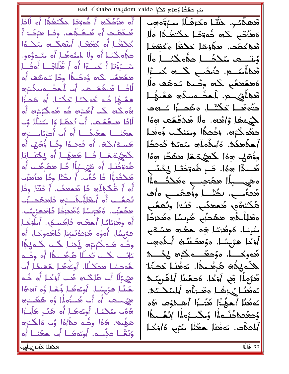Had B´shabo Daqdom Yaldo lị مُبْدِهِ جَمْحُل وَجْمِعْ بِهِمْ بِهِمْ بِهِمْ بِهِمْ بِهِمْ بِهِمْ بِهِ أَه مِزَحَكَمٍ أَ خُورَتَا حِكْتِمُكُما أَو لُائَا هْهِكْتُبْ. حَتَّقَا مَكْتَوْصْلًا مِسْرُؤُهِ وَمِ هُبِكُفُت أَه هُبِكَيْهِ. وضُل هرَضَةِ أَ هُمْزَمْبِ كُلُّهِ شُوتِمْلِ حِكْتِمُكُمْلِ وَلَلْ بُحِكْتُمِ أَو جُعَعْمِ). أَسْعِكْ و حَكْمًا مْهِكْهُت. مِدْوَمْا خُلْقْا مَكْمَعْلَ حِبُّوجُنَا أُو وِلَّا لِمُتُومُنَا أَو مُتُووُوو. وُسْطِ مُحْدُّلِ حِدُّہ جُبْنِ ا ِسْـــرُوْنَا أَ كَـــــْزَا أُه أَ تَكْلَابْـــا أُهكُــا هْدَانُمَـــو. دَّىئَــب كَــــره كَــــــــٓٓا همَّعمَد كَلَّه وُهضَمُّا وَشَارَ مُتَّعَفُّ أَه كَحكَمَه لْدُه وصْلَمْ مُدْهُفْ هِلًّا لْإِضًا مُحفَّفَــم. أَبِ أُحفُــومِكْتُرُه هْدَأَقِي هِ. أَحْشُـهمدهُ هِمُدُ ا فَمَّلُوا شُو يُوجِبَا تَحَكْتَا. أَو هَذَٰ:ا حَزُوهُما تَكْتُما. وهُجِبُرا سُبوب هُولاه لَكَ أَهُدْهُ هُو هُدَكْتُرُهُ أَو لِحَيْبِيثُما وْاهْدِهِ. وَلَا شَدْفَعُتِ وَوَا لْأَمَٰلَ هِيهَٰهُـبِ. أَبِ أَجْهَٰلَ وَا يَتَتَلَّلُ وَبِ حعَدهدُره. وَحُحدًا وِمَتكَبٍ وَّوَهُما هُسـة/لآه. أُه ثُـهدهُا وِضُا وُهُلّ أُه أهدَه مَدْمٌ. وَالْمُومَانُ مَدْمَدٌ صَدْمًا لحَميَّ عَمل دُلَّ مَعْدَلَ أَه بِكَتَسَانَا وَوَّهُمْ يَكْمُمُهُ الْمُعَيَّمَةُ أَمْمٍ لَهُ مَثْلَةٍ مِنْهَا هُودُنْدا. أَو هْتِيءُلُما دُلِ مِعَرِمَتِ أَو هَـــداًا هەُا. كَــر هُەوْحُىْــا لِىكْسَّــ هَكِدُولًا دُا دُرَّبٍ. أَ بِجَتَا وِدًا هِرَهَيْب ههجيرا المتفاجب معكشهاا أَه أَ مُكْمِلَه دُا مُعمِّدُ. أَ تَتْزَا وَدُا هُدأسب. بَكْشَــا وِذُهِقَبـــى ه/ُف ىُممَّـــــــ أَنْ أَعْقَالِمُــدَّرِهِ دُاهِـمَّدَـــرَّب هُكْتُوُهِ هُعَعْدٌبٍ. ثَنُـٰٓةًا وِنُعَمُّب ھكَمَّں. ەُھُرْسُلْ ەُھُدْرُكُلْ كُلْھُدەُ بِمُبْ. ەھْلِلُىلە ھەگجەْپ ھُرىسُل ەھُدەكْل أَه وهُ;عُامًا ٱحمَدُه دُاهُسمَ). ٱُـلَّٰذِكُـا مُبِيُّلٌ. ەُوھُزْمًا ۋە ھَقْدە ھِمَّەب هزَمِسُا. أُدوَّه هَٰذِتمُنَكِيُّا تُاهُدوكُـا. أُد أُوْكُلُ قَوَّمِسُلُ دَوَّهْكُسُنُّە أَمْلَادەت وَدًا مَدْمَكْرُمْ لَهُدَا كَلَّا كَلَّاهِ لِمُ هُدوخُـــا. ووُحفَـــمكْتِرْهِ لِحُـــدُ مُالَّـب لَّـُـب تَجِبُّلا هُرِهُـبِيهُ! أَه وَجَّــهِ للأعلى مُبْسَلًا. عَمْنُا تَدَّنَا. هُوصِبُ الْمَحْكَلَا، أُوجُوهُمَا هُجْمَدًا أَبْ مِيَّ إِلَّا أَبِ هَٰلِكُ هُ هُـبٍ أَذْكُـل أَه خُـه هَٰدُوماً إلَى أَوْحُل هَحصَنًا ٱلمَحْمِيكِمِ لَّمُسُلَّا هَزَّمِسُلَّا، أُوعَاهُمَا ذُهَبا وُه آهها تَمْعُنُا إِلَى مِنْ أَسْتَرَاءُ مِنْ الْمُحْكَمَةِ. محَيْدِها. أَو أَبْ هُدْ زُولًا وَو هَهَدْ وهِ عَوهُمُا أَحِجُرُ أَمَّزُتُوا أَهِجْوَهِ وَوَ رَهُهُ مَكْسًا. أُوعُوهُما أَو هُبُ هَٰلُو أَ |وُحعَٰدهشُدهُ||وُحكْسةِ٥إِلا إِنْعُــمهُ| هِمْيِدٍ. وَدَا وَجُبِهِ هِدَاهُ! وَبِ وَالْحَبْرَو ٱلمادمَّد. مُومُعُل حَمَّنُا مُرْبٍ وَاوْحُـا وَنُشْأَ دِيَّـــه. أُوعَمَّــا أَبِ هِعَنَــا أَه مَحْدُمُا حَنَّمَا يَجْهَلُ 60 **هَاِيَاْ**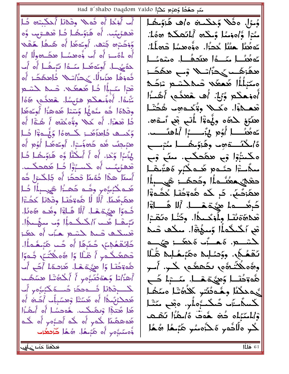Had B´shabo Daqdom Yaldo Ajaj pás مَمْدِ حَمْدًا بِهِمْ بِهِمْ بِهِمْ بِهِمْ بِهِمْ الْفَاءِ بِهِمْ ا أَب أَوْخُل أَه ثَمِيلًا وَثَمَانًا أَحكَنْتُهِ ثُنَا وُمِرًا. دَفَلا وَحكْمة دَافْ فَرَوُمْعُـل هُدْمُ مِيْتٍ. أَوْ هُرُومُهُمْ ذُلَّ هُدْءٌ مِتْ وُو مُنْزَا وُّاهِ مِّمْا وُحْدَه ٱلْمُتَّكَّدُ «هُمْا: وَوَحَدْرَه جَنْف. أَوجَعَعَدَا أَه عَمْدًا هَفْلًا عَوهُمُا هِمُمُا جُدَٰرَا. وَوُوهِمُا دَوِيلًا: أَه لمؤَ أَه أَبْ وُوهشا هضُدوولًا إو كَوْهُنَّا مُنْدُوا مِتَحَفَّا. وَسْوَعْدا حدَّيُّكانَ أُوحَدَهُكَ مَنْدَا تَبُنَّكَ أَنَّ أَبَ ثَموْهُا مِنُبِرِلًا. جَحَزُاتِيْ دُامِيهَجَةِ أَه مسّئلُما هُععَلا تَعطكسَع تزكّك هْزا مَنْبِهْا قُلْ هُمْعَكُمْ. قَنْبُ كَسْبَرْ أُهوَ هَكُمْ وَرَبِّيْنَ أَهْدَ هُمْدُومٍ أَهُدَٰرًا تَّزْمَا. أَوزُعِكُمْ فَرَّبِمُا. عَمْدُو، وَأَوْ قعمدْوْل مكْملا ووُّكْمەھە ھُڪْتْبار وفَّاهَ | شَمْ يُلْمَ وُسْتَارِ مُدْهَرُ | أُوسُوَدًا } هلَّكُوْ لِالْهُمْ وِلُّوْقُوْا لِمُنْسِ بِّي ٱسْوَى. جُل قَيْمَوْلِ. أَو جُلا وَوُوجُنْهِ أَرْ هُـٰٓةُ لِ أُو عَدَّمُتُـــا أَوْمِ لِيُنْـــــرَا ٱلْمَصَـّـــب. وَكْسِكَ دُاهِدَهُمْ: ݣُـْـــ90ْ وَيُــُدوْا دُــا همْ بِصِفٌ هُد خُلافُتِهِا. أُوحُدَهُما أُوُم أُه ةُامْكُنَـــة وِمَا وَهُوَمِعْـــا مُبْنِـــــ لِئَمُرًا وَكَذٍ. أَه أَ أَحْكَنَّا وُه فَرَوُحفًا كُـا ەڭسۇۋا ۋې ھڭچگىپ. مىڭ ۋې قْدْمُ مِنْتُ أَنْ يَكْسَبُرْوْا صًّا مُتَّقْضَف. سلَّمَـــٰٓ;ا حنُــه من هُـــه كُبُر هَ فَتُمِـهَــا أَسلًا هذَا دُمَّسًا دْحَدّْ: أَو ذَاكْتُوْلَ ذُه الْمِسْرِمَةَ مَسْمَالِ الْمَسْتَمَرِّهُمَ هُــمكْبَبُومِ وِحُــم حَمْــُوْا هَيْــرِهُا كُـا ههَ;مَٰبَ. ثَرِ ۚ كُم هُوَوَحُنَا ۚ كُحُووٓٛا محكَّرِمُّكْمًا. أَلَّا لَّا هُودُكْسًا وَثَلَاثًا كَدُّنْزَا ثَـٰءَوَا مِنۡيَـٰٓمَـٰا ۚ. ٱللَّا شَـٰاةِٓا وِمُّـٰد ، وَٰادَا. هْدْهَةْتْلَا وِلُوْكُــدْاً. وِكْتُـا ەنْقْــْزا تَبْكَلْ هُبِ ٱلْكُنْدَةُ أَوْتِ سَهّْبِهِ ۚ لَٰ هْمِ ٱلْكُنْدُهُ أَا وُسَوُّرَةُ!. سَكُفْ شَنْدًا قسكت فسلا للشعر لمئن أه لمغاز لمشعون ةحسَنُب ةَحفَسَن حَيْمَ كَانَقْعُذِبَيْ شُنَرِفًا أَو شَب هَٰزُهُمَا أَا. تَقْعُـكَمْ. ووُئــُـلِـمْ ەكَبُـعُـلِـمْ تَمَـْلَا دْهِهَٰىكُـٰمِرٍ أَ مَـْلَا وَا هُوَىٰلاَتَـٰٓىٰ فُـٰوَوَٰا وِرُّەلمْتَسَرُّە بِكُمْعَشُمْ لَكْسْ أُسْو هُوَوَحُنَا وَا مِنْهَ هَا. هُزِدِهَا أَكُمْ أَب أَهَزَانَا وَحَقَائَيْهُمْ أَ أَلْحُلُّقَا هَنَدْهُت هُوتُسْما وَهِيَّة هُـــا. مَـَـــْمِا كَـــح لْكُسْرِثْلَانَا شُسْمَحْتُمْ شُسْسَمْكِيْبُومِ أَبِّ لَّهْمَدُهُ الْتُوَاتُمْ لَلْأَوَّةُ مِنْهُمْ الْمُكْمَرِيُّ هَٰحكُمُكُمُّا أَه هَٰمَنْنَا وْهِمَٰبِكُ ٱحَـٰ ْهُ ِكْسِلَّمْــَّە شَكْــبُّەلُم. ەقْب مَتْـَا هَا هُتِمْا وَبِمُبِكَبٍ. هُوصُبا أَو أَبِهْـٰٓءَا وْالْمِتْبَاهْ هُوَ هُوَ وَالْمَدُّا تَّصْحَبَ هُدهقَناً جُدرٍ أَو جُد أَدرُورٍ أَو جُد َكُمْ وَلَاَشُومٍ وَكَنُومُمُو هَزَمَهُا وَهُمُا وُّەمَئېرُەم أَە هَرَمْل ھُمَّا كَرْحِعُرْب مَحَفَّنًا حَنَّم يَأْفِي  $\mathsf{LL}$ هُ 15  $\mathsf{6}1$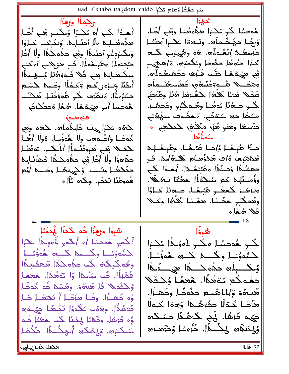Had B´shabo Daqdom Yaldo المجمع الم Had B´shabo Daqdom Yaldo رجمأا وزجزا أَهِـهُ| كَــِ أَه مَكْــُ ۚ وَحَكَـــ بِمَــ أَحُــاً هُوصمًا كُلِّ مَكْرًا هذُوهُنَا وقِي أَكْلَ وَرَجُـا حَهُـثَــٰهآه. وتــهةا عَـٰــُ ّا ٱحتُــا هِدُّەھُــابِــمْ ەلَّا اُحسُــابِــمْ. وَيَكَرِّجَـــرِ كَــاوُا دْمِعْكُمْ إِنْغُسْمَلْهِ. 50 وِهْيِجُبْ كَمْدَه وَكْنُوهِ أَرْسَلُوا وِقِي حِذْهِكُمَا وِلًا أَحُا حَرْحَتُمَلًا ۚ وَهَّبُـِهُوَلًا. ۖ فَــرٍ مِعَهِلِكُـبٍ ۖ أَوَكَتَبِ كَتْرًا حَزْهِ هُل حَدْهُل وِمُكْدَوْرَهِ. 16هـئي بْمِ هَيْهَ هَا حَنَّ هُنْهَ الْمُقَرْبُهِ مِنَّا الْمُقَرَّبُهُ مِنَّا مِنْ مىكىغْـابىھ بَعِي شَكَلا شَـٰء;شَال وَمـٰهُــٰماُا ەككىلا ھُــە;كُىشُەر كَعْنُسْعُلُــەلُ10 أَحَطُا وَبِءُورِ كُنْ وَخُدَمَاْلِ وَشَيْئًا حَسْنَةً هَٰدَلا هُـٰٓئِمُ لَلأُهُا لِحَفَّنَهُا هُٰلًا وِهَّٰٓئِكُمْ ۖ دىئۇەلاًا. ەَىڭزە خىر ھُەۋخْتا. ھَدْتَــْب لْحُــرِ حــهُنُا عَمُحـا وِهُــمكْبُرٍ وِحَٰحَهَــ;. هُوصُلُمْ أُسٍ هِيُتَمَمْ. شُهُلْ هُحثُلاَكُمْ -مَنْھُا دُه مُـٰٓةَكُب. هُـَـَـُـُـهِ مَـٰهُمَّـَـة فزمعتها لحقَّ مَنْ الْمَعْدَمِينَ مِنْ ابْكُمْ وَهْكَمْ مِنْ الْمَحْدَثَ مِنْ الْمَكْسَمَةِ مِنْ الْمَكْسَمَة حَتَمِيقَا وَتَعْبُرِ هُنِّي مَكْلُهُمْ لِلْمُلْعَبِينَ \* مفطأهلا جُدكُما وَٱكْتُوهِت وِلَّا حُدَوْسًا. وَوَلَّا ٱهْمَا حَدًّا هَٰٓبَـمُـا وَّاحُـا هَٰٓبَـمُـا. وهَّبَـمُـابِـهِ لحْفَــلا بْني هُـْبِوْضُـُـماُل ٱلْمُـكــرِ. عَمشُـل تَعَطِّطَهِمَ ةَأَهَا تَعَطَوُهَـزُمْ لَكُلُّمَةٍ إِنَّكَ. كُنْزِ حكَاهوا ولَا أَحُل بْعِ حكَّمككُمَا خَعْزُنُـٰلِـمْ حقَتْنُـدُا وَمـتُدُا معَبَّتِـمُـدًا. أَحـدًا كَبِ حنُلْحُما وِنَـٰٮ، وَلِيْهِمْا وِصْـٰهُ أَوُم وِؤْهِ مُنْلَاكُمْ كُمْ مُمَكَّثُهُ أَا حَمَّتُنَا بِّ هَا ذَلَا. فُه;هُمُا نَحصٌ. وكُله عُلًّا \* ەتىقىز كىھىر مەملىك دىھائا ئىلۇا وهُدكْرُم هَدَّسُلْ هِهَسْلْ لْمُذْوَّا وَحَمْلا ئُلا شُمْاء  $-16$ هْبِوًّا وَرُقِيًّا هُم كَحِبًا لِّهُوُّعًا ۖ ۿڔۏؙٛٳ أَلْكُمْ بِمُعْجَمًا أَنْ أَلْكُمْ لِلْمَوْلِكَ الْكَرَا لْحُرِ هُوصِبًا وكُرِ أُووُجُا كَحَزَا لحَشَّدُوُسًا وكَسِيم كَسْمَ هُدُوُسًا. لحشَهوُسُا وكُــمه كَــه هُهوُسُا. وهُدكْرِكْةِ كُ حَذُّوهُمْا مُعصَّلِما وُكْسِرِلُمْ حِكْمِكْكُمْ هِيَ مُرَمَّلُ فَعْزِلُهِ. حُب سَنُرِيدُا وَا يَوْهُدُا. هَعِمُا حِمُّوكُم يَّةِهُدًا. هَعِمًا وَحَدُّلًا وْكْثُمْكَ ۚ ذَٰا هَٰلِهَٰۚ ۚ وَهَٰشَكَ ۚ شُهُ خُوصًا هُدهُوْ وْالْمُلْعُدِ حِنُّوحُا وضْعَـٰزًا. وُّه حَمَّـزًا. وحُــل هزَّحْــل أَ تَحتمْــل حَــل هَزَهَا خَذَلَا حَضَرْهُـها وَهِءُا خُـدلًا دَّتِهُكُلُ. وِهَمَّتْ مَكْدَوُّا تَكْتَعُلُّ حَيْدَهُ دَيْمَا. يُمْ كَرْهُمْا صَنْبِكُلُّهُ عَنْهُمْ مِنْ وُّه دَٰزِهَا. وثَمْنَا لِكُنا كُب هِعَنَا شُه وَلِكَلاَه لِكُماًا. ضُوْمًا وَحْوَهِ وَ سَكَتَرَه. وَلِمْكَةَ أَجِكْجُلَ. فَكُفَا مَحَاضُرًا حَمَّد لِلْفَكِينَ  $\mathsf{LL}$ ہ کا  $62$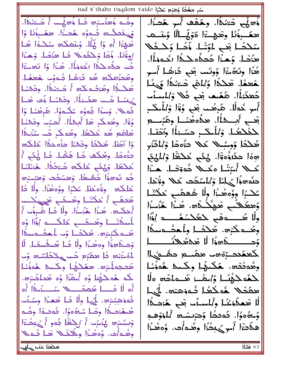Had B´shabo Daqdom Yaldo المجمع الم Had B´shabo Daqdom Yaldo وصُّد وْهزَاسْرْه صُل وُههَّب أَ صَـْرَبُكَالَ ذُهِبَي حُبْكُما. وِهَقْف أَس هَٰحَـٰزًا. قْرَحْقَدْ بِهُ شُووُه لِمُحَسُّرًا. هِمُسْرَوُنُا وَا همَّــزِذُنَا وقَدِيْــَةَا هَوْلَيَــالَّا وُسْــت مْدِيْرًا أَو وَا يُمْلًا. وُسْعَدُه سَكْدًا هَـا سَكْحُـا هَبِ اوَتُـا. وَكُـا وَكَـقُلا رُوتُهُا. ذُكُرْ وَحْدُهِ لا كُلِّ مِنْكُلْ. وَحَبّْرُ هَزَٰتَـا. وَهـزُا حَحِمُّوحَـدُا ائْدوٰفُما. حًى حِدَّهِ حَكَّلَ ائْدَوْلُمْ. هُـزُّا وَّا تَحِيَّا هُٰذًا وِنَهُٰنَۃًا وُوِنَـٰٮ بَّنے دَٰٓنَصًا ٱمـٰر وهَدَرُهَدُو هُو دَرْهُا ثُووُب هَعْمَا. لَّفْعَمُا. شَكْذًا وَٱلْمَنْ شَتْئُذًا وَيَنْأَ تَعْكَمُ! وهُزَكُمْكُمْ أَ شَـْرُكُمَا. وَثَمْنُـا كَعِذَبْلًا. هَمَّـم بْكِي ثُلا وْالمسرَّب جَهِيْبًا جَبِّبٍ مِجْمَيْرًا. وَجَمْسًا وَجَا هُنَا أُمِرٍ كُدلًا. هَٰڔِئُڡ بْنِي رُوْٓا وۡآٰاُمِكَـٰڔ ثُملا. وْسِرًّا فُووْه عَكُموُّا. هَرِهُنَا وَا بْحَبِ أَبِــكلاًا. مَحْدُه مُحَــّــا وهَرَّـــــم وُوَّا. وهُدكُر هَا أَبِكْلًا. أَحِبَّ وذَكِيَا لِمُحْكُمِّلٍ. وْٱلْمَحْبِ حَسَّنَاً وَٱحْسَا. قَالْقُمْ هُوَ يُخْلِقُوْا. وِهُوَجِّرْ هُبَ مُنْزَنْكُمْ! وَا آتتَا. هَٰكْمًا وَثَكْمًا حَزْهِكُمَّا خَلْكُم هَٰٓدُكُمْ وُومِّيدًا ۚ يَدَا ۖ دَّءُهُمْ وَٱلْمَنَّىٰ دَّوْدًا. ومَحْكَفَ كَلَّ فَتْقَلَّ دُلَّ لَٰٓكُمْ أَ رَّهِهُ| حَذَرْهُوَةُ|. كِنَّبِ عُطْقُا وَالْمَكْمُ كْكْتْدَا. وْلِحْمْ كْلْكُلُّهْ كْتَرْتُكُلْ. هَرْتْلْتْلْ كُمِلًا أُمَرْتُما مَكُمْ ذُوقِهَا. حَبْرًا كُمْ شُوْهُوْا كُلِّكُمْلاً. وْهِشْكُكْ وْهْزَسْرْهْ حِثْهِ وَذَا جَهَلْهُ وَالْمُمَكِّدِ جَمَلاً وَوَّجَا. كَلِكُلُه وَوُّدَيْنَا. يُكْرُا ووُّدِهُدُا. ولَّا طُل كَكْرًا وِوُّەھُدًّا وِلًا ھُھھُب تَكْتْدَا هُدفًـــ / ۚ كَـكْــْــا وهُــدفًـــ هَــٰى كِـــب<br>/ُحكــه. هُــزُا ـهُزَّــزُا. ولَا تُــا هُــزِفَ / وَهِمَكِيْبٍ شَهْكُـدْهِ. هُـزُا هُنُـزُا وِلَا هَــــــــهِ عَمِّلْمَـــُمُـــــــه إِذَّا لَمْعِدُنْـٰ لِمُحْمِضَـٰبِ كَلِكُـْـِمَ إِوَّْا وُهِ وهَـــوكَيْرِهِ. هَكْــُــا وِلْمَكْــوسكُا هُــوكُرُمْ(ه. هُكْتُــا وُبِ الْمَثَّــومِيدًا وَّحــــــــدَّاهُواْ لَلْا مْحَمْعُمْدُكُــــــــــا وْحِيْدُهِ وَإِنَّ وَهُدُّ إِلَّا حُلَّ هُمِيمُمِيْصًا. لَلَّا للاهدُ مستَمَّدة اللَّهُ مِنْ مَسْمَعَ مِنْ مِنْ مِنْ لمَّاشِهِ دَا مِمَّزِمِ دَّے كَلَّكَلِّكَ وَّتَ هُدجولُمْ9. همَكِيُّا وكَمِّط هُوَدُّا وَهُدَدُدُهِ. حَكَيْهَا وكَيْبِهِ جُدَدُكَ لَّكُمْ لَهُمْحَكُمُلاً وَّهُ أَنْجُزًا وَّه مَّعْمَلَحَيْرُهُ. لْحُمُّدْحُمُنَّا وُّامِضُــز هُــدادُه ولَّا هكَضْلًا هُمَكْتُدًا ثُـمْوَهْدُه. لَيُهَلَّ ثُدوْهِبُبْرْهِ. إِبْهَا وِلَا دُا هُمْرْا وِسُأَب لَا مْحَكَّوْعُبُّا وِٱلْمَسَّفِ بِّنِي هَٰزِحِيكَا مُعمَّرْصِدًا وصْل سُدُّووًا. ضُوصِدًا وضُم وۡ۔۞ٛووُا. كَەدۡھُا وَۡدَبِۡـُـٰدِ ٱلۡاَوۡوَٰڡِـهِ وْسَمُدْهِ لِيَّتِّ أَكْرَحْتَهُا هُومٍ أَكِيدُّوْا هِكُمْتْزَا أُسِرِّي بِمُّزًا وِهُـهِ/ُب. وُهِهُـزًا وِهٗكاُد. وُهِهُدُٰا وِيلَكَيْلا هْدَا شَمِيلا مَعَاشَفَا مَنْ الْفَكْمَةِ  $\mathring{\mathsf{LL}}$  فَالِمَا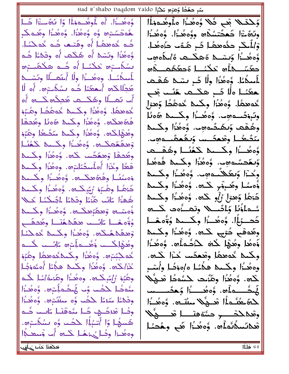Had B´shabo Daqdom Yaldo Aj مَمْ وَجْمَعْ لَامِعْ الْمَاءَ بِهِ بِمَعْيَارِ وَكَحْكًا بْمِ ثَلًا وُوهُـزًا ولُوهُـوٰفَاً وُوهُدُوا. أَو مُأوهُدونُهُ! وَإِلَيْهُمْ الْمَرَاءُ الْحَمَاءِ هُوصَيِّدُوهِ وُوهُدُوا. وُوهُدُوا وهُدمَكَر وِنَهُ تَزَا جُعجَّتِمُكُمْ وَوُوهُجُرًا. وُوهُجُرًا ثُـه بُدهكا أُه وفَسْعا ثُـه بُدكـُـا. وْالْمَكْرِ حَثَّەھكَا ضَرِ هَـٰهَـٰ حَزَٰہَهَـٰا. وُههُدُا وبُسْط أُه هَكْك أُه وثَطْئًا شُـه أؤهعُدُ أو وُسْدِ هُ هِكْدِ وَالْمُعْمُوتِ ىسْكُمْتْ 3 كَنْتُمْلْ أَوْ خُتْ ھَنْكُمْتْ 3 حعَمَد حملَه مَكْسًا هَ حعَمَع حَمْهِ لَمْعِكْمَا. ودفُدُرُا ولَا أَمِنُعَسَلَا وَيُسْبِطْ لَمْعِكُمْا. وُهِمْزًا وِلًا ثَمِ يشَيْ هَفْيَ هُجْلَاجُم أَحْمَعُمُ ذَءٍ بِسُلَمَةِ مِنْ أَو لَٰا حَمَّيْنَا وَلَا كُبِ هِكْنِكَ جَنَّبٍ قِبَ أَب يُصطُل وهُكْسُمْ هُمْلُوهِ كُسْرَةٍ أَوْ كُدهكُما. وُدمُدُا وكُمِيم كُدهُدُا وَهْدَل جُدههُا. وُوهُزُا وحُـُـبِهِ جُدهُدُـا وهُـَرَوْ وِيَوْهُـــوِي. وُوهُــزُا وِكَـــدِ وَوَهُــ فُوَّهَ مِكْلُوهِ. وُوهُدُّا وِكْمِكَ وَوَمَا وِهُدَهَا وَهُقْفَ وُبِّضَمْعُوهِ-. وُوَهُدًا وَكَسْمًا وهُكْمَلِكُهِ. وُهِهُمْ وكُنْدِ مَجْتَعُدُ وهُوَ مَكَنْفُسا وَتَعْفَسْتَ وَتَقَعِقَسْتَةِ وَبِ وْهِكُمُعَكَّدُهِ. وُهِهُدُا وكُمِيع كَمُنُمْ وُههُــزُا وكَـــمه كَـهُنُــا وهُـڤـــم وهُدفًا وْهِمُكُسْ ݣُلُهْ. وُّوهُزُا وكُنْدُ وَبِمُحِسَّدِهِ۔. وُهِمُدُ كُلِّمِهِ فَهِمُكُمْ فْعُلْ وِكْزْلْ أُهِلْمِمْتَاتِرْدِ. وِهِغْزُلْ وِكْمِمْ وكُنْزَا وَبِعَكْلُبُدِهِبٍ. وُهِ هُـزُا وكُـبِكْ وْدْمُبْكُمْ وْهُدّْهْ هْدْ دْ وْدْهْدْرَا وْݣْسْدْ |فَعِسًا وِهَٰـبِوْرِ كَـهِ. وُهِهُـزًا وِكَــد جُزِهُما وهُبُرْ رُبِّرِيْدُ وَ وَ هُدُرًا وَجَمْدُ جَزْهَا وَهُوَا رُأُو كُلُهُ. وُهِ هُذَا وِكَحْمَا هُهِزًا عَلَيْهِ هَٰزُمًا وَهُمْا لِمُحِكْمًا كَلَمْ ئَــدادُنُا وَاصَّـــــلا وتَعـــزُهِ كَــــره وْْهِشْدَهِ وْهَكّْرْمِيْكْدُهِ. وُهِ هُدْرًا وِكْسِمْ كَحَـــرُلُمَا. وُهِ هُـــزُا وكَـــمِدْ وُوُّهِ هَـــا وُقُوهَا كَانُــب مِفَجَعَلَا وَمُحِفَّــــ وَمُحَفَّـــــــ وهُدفَهِ حُرْبٍ كُنْهٍ. وُدَهُدُ او كُنْدَ وْهِكُلْمُمْكُلُهُ. وُهِهُمُ وَلَكُمْ يُدْكُمُ ومُحْهَلِكُــب وُهُــولَمْ وَمَ عَائَــب كُــو وَّەھُل وِھُنْهَا لَكُنْ لِكَيْشُمَلُو. وُەھُـزًا تُمطِيِّتِهِ. وُءهُدُا وكَسلانُمعها وهُزو وكَمِيم نُدْهِمُا وقَعْضُبْ كُنْزَا كَلِيهِ. كْزَاكْلِهِ. وُهِمْزُا وكَبِيمْ هِجُبًا أُهشُوْجُا ووهُدُا وكُمِدْ فِذُكْرِ وَإِودُكُمْ وَأَسْرَ وهُبُو وُلِمَرِكْدِهِ. وهِ هُذُا وهَٰنِهُ إِسْلِ كُمْ كْلِهِ. وُهِمُدًا وِهَّنُتَ حَشَّوطُ ثَعِيْلًا مَنْدَكُلُّ لَكْتُ وًى يُمَثَّـدَلَمْ وَاللَّهُ وَاللَّهُ أَن لَمِثْــــدلَم، وُدمُــــزُا وَحصَّــــــــــ وثَمْنَا مَدْنَا لِحَمَٰبٍ وَ مِسْتَرْدٍ. وُوهُدُّا ﻼ%ﯩﻐ*ﯩﺪُ*ﻪﻟُ ﺍ ﺷﯩﯘﻻ ﻣﯩ*ﯩﯔ*ﻩ. ﯞﻩﮬﯩـ;*ﺍ* وحُلِّ هُرَكَنِي كَلْ مُدَفَّسْلِ عَالِيبٍ كُنْد وثعملاتك ومنتفقها شكولا هَسِهُا وَا أَتَّهُمَّا كَحُبَّ وُهِ بِسُلَّتِهِم. هْدْئَسْدُنُوْدُه. وُوهُدُّا هُبِ وِهُدْمَا وەئدا وئالى;ھا كە ئە أَمَّ وْمَعْدَلَا مَعَلَّفُنَا حَنَّمَ يَجْهَدُ  $\mathring{\mathsf{LL}}$  فَال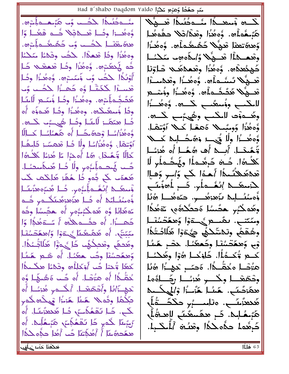Had B´shabo Daqdom Yaldo المجمع الم Had B´shabo Daqdom Yaldo شَـــودُنُـــا لِلْدُــب وُبِ هَزْبِـمَــولَمْ وَو. كَلُّ وَسِعِيدًا شَدْدُكُمْ قَسِيمًا لَهُمْ الْمَحْمَلَاتِ وُّەمُصَـزا وصُـل مْسَـٰهِ بِهُـٰه صَـُّمَ فَعُصَل وَّا هَّبُعْمَلُهِ. وُهِمْزُا وِهْدَّاهُلا حقُّومُا ا مدة تقتال للدُعب وًب دَهُيمْ ولُمْ وه |وَهدهَ تعتال هَنَّىٰلا حَصَّمْتُمالُه. وُهمُدُّا وهِ هُذَا وَجًا قَنْعَهَا. نَحْجُبْ وَشَمْئًا سَكْنًا وقعصلاأا قبيهة والمأه وما منكنا كُم يُحكَّدُهِ. وُوهُدُّا وكُل قَعْمَتُكَ كَلَّ كَهِنُعِدْوه. وُهِمُدُا وقعِهِمْ مَعْ شَاوَتِنَا أَوْلَٰٰہٗا ۖ ۡلَٰٰٓٓتُ ۖ وَٰٰٓٓ ۖ وَٰٰٓٓ وَٰٰٓٓ ۖ وَٰٰٓٓ ۖ وَٰٓ وَٰٓ وَٰٓ وَٰٓ وَٰٓ وَٰٓ وَٰٓ وَٰ قْبِيْكَا ئَىشْبْهَلُرْ». وُهِ هُنْزَا وقْبَاسِيْرَا قْسِيرًا لَكَنْشَا وُه خُهِيرًا لِكْتُبِ وُب قْبِيَبًا مُكَثِّدُها، وُهِ مُنْ إِ وَوُسْتُو مَّحَبَّدِيَّدِهِ. وَوَهُدًٰا وَكُل وُمَّكُمْ لَّاعَبَّا للكب ووُسعَي كمره. وُهمُسْرًا وِدًا وُسعَّىكُلُه. وِهِعُـزًا وِدًا هَـٰدَوَّه أَه وهُدوْد للكب وهُيِّبَب كْدِهِ. ئًا منفَة لَاسًا وئًا هُيبُو كُنْ. وُهِمُرًا وَمِئِيلًا هُهِمًا كَبِلاً أَوَّتِهَا. وُّەمُدُّاسُل وْحِيَّمْكُل أَو هَمْدُكُلْ كَمَلاْلُ وُهِ هُــزُا وِلًا فَيْبِ وَرَهُ حُــامِهِ كَـــلا أَوَّتَهْلَ. وُهِمُّذُامُا وِلَّا حُلَّ هُعِمًا: كَلَّحُلَّ وَّحَمَدْ الرَّ أَبِيهِ أَوْ هُجُا أَو هُزَيْنَا كَالًا وَّهُجْا. هَا أُوحا بَا هُزِيَا كَلَّهُ! كْلُـدُّا. حُــِدَٰ حُـرِثَــٰـٰ الْمَحْـُـٰـٰـٰ لَٰلَّا لَٰهَ حُــد لَمُحــدلَمَرُه ولَا حُــل هُدكَمدحَــل. هَكَمَلاَتُمَكُلّا أَحْدًا كَبِ وَٱسِرِ وَقِيلًا هُعمًا ۚ كُم بُمو دًا هُفَا هُلْكُما كُنا َكْتَنْعَمَدْ كَلِيْتُمْسَمَلُنِ. كَـَــزٍ لِمُ1ْتَكِيمَ وْمِعْكُــدَ إِنْـقُــدِيُّومِنْ. ضُــل هُـبُومِنْتُـل وْْهِيْشَابِكَ بِزَهْرْهُـــــو. حَمَّەهُـــا هُلَّا ؤْەمْنُـٰائَـٰہٗ أُو خُـا مٰنَمْنِمَنِنَّـُـٰمِ خُـٰـٰه وهَدكْبُرِ حَصَّىْنَا ەَحثَكْشَى غَفْكَا عَەهَانَا وُه هُدىگَرْجُوم أَو حَضِّينَا وَدُه وِمَتَتبٍ. بِمُسْمِنٍ مُسْتَوْلِ وَهِمُصَّمُنْسَلِ حُھــُ:ا. أَه حثَـــمكْتُم أَ عُـــقمُدِا وَا وهُقْعُ ونَمْتُنْحَيُّ حَيْجَوْا هَٰلَاحُتُكُمَّا مَبْتَتَى. أَو هَدَهَمْمَا يُحَوْلُ وَاهِدَهَمْشَاءَ وْمِ وَهِمَّدْسُلَا وِدَّهِهَدَا. حَدْمِ هَمْدًا وهُدَهَّى وهُدِكُهُم كَانَّ وَوَّا هَٰلَاتُّــُدُّا. وَهِمُحِسُنًا وَحُبَّ هَهُنَا. أَو هُـُمْ هَيْنًا كُحِر وُّكُحُمَٰاً. خَاوَجُهَا هُوْا وِهَكْمَا كَعَدًا وُحِيَا حُبِ أَوْجُالَمْ وَحَمْيًا مِكْسِمًا هَّوْشَــا هَكَشُــدًا. هَجَسَــرِ تَحِيــزًا هُنَا عُقُـٰدًا أَه عَتُرْـَـا. أَه كُــٰ هَهَّـٰهًا وُه ودْتَفْعْسَا وِكْسِرِ هُٰنِسًا رَضَاةُها تَحِيُّ أَمُلًا وأَحْقِقَهَا. أَكُسُو هُنْسًا أَه هكَرْحُمَّبٍ. هَسُـْ هُزُسْزًا وْالْمِكْسِـدْ مَكْمًا وِثَمِيا هَمَا هَزْمًا يُهَدُّوا مِنْ مَحْمَدٍ مَّدهنَّتَــــــ وتلمــــــرُبِ حَكْـَــــتَّهُـلُ ىڭى. كَارتقىمگىكى كَار مُحمدَّبِتَا. أَهْ هَّبُسُلِيه. کَ مِیْسِعَیْکِ لِلْمِیْتُمُّلِ رَّجَٰٓئَا گُوہِ کَا تَقۡھُدِٗکَیٖ ھَرَٖۡھُلَّا ٖ، اُو |كَرِهُدا حَذَّه\$كَمُل وِهْنُـزة أَلْمُكْـرِا. محَدِّدَ مَنَا أَ أَمُكَّتِنَا حَبَّ أَمُا حَذَّهِ حَكَّا مَعَاشَ الْمَشْرَ الْمَحْمَدَةِ  $|L|$ هُ 165